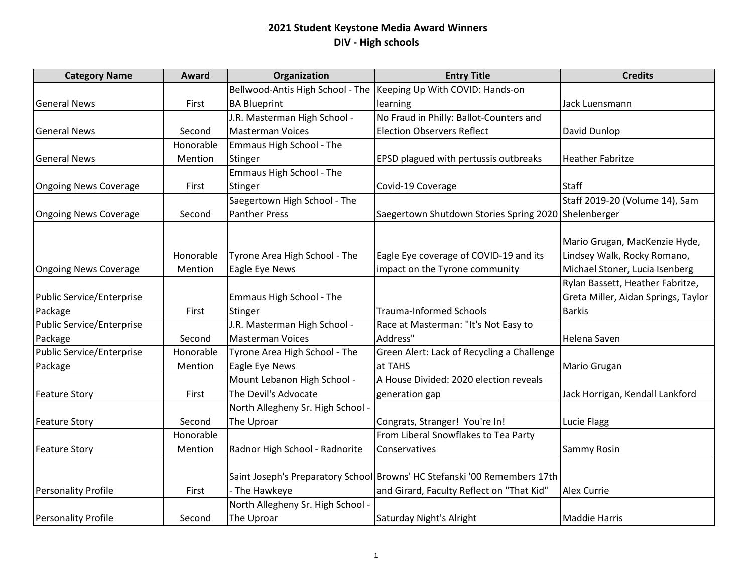| <b>Category Name</b>             | <b>Award</b> | Organization                      | <b>Entry Title</b>                                                        | <b>Credits</b>                      |
|----------------------------------|--------------|-----------------------------------|---------------------------------------------------------------------------|-------------------------------------|
|                                  |              |                                   | Bellwood-Antis High School - The  Keeping Up With COVID: Hands-on         |                                     |
| <b>General News</b>              | First        | <b>BA Blueprint</b>               | learning                                                                  | Jack Luensmann                      |
|                                  |              | J.R. Masterman High School -      | No Fraud in Philly: Ballot-Counters and                                   |                                     |
| <b>General News</b>              | Second       | <b>Masterman Voices</b>           | <b>Election Observers Reflect</b>                                         | David Dunlop                        |
|                                  | Honorable    | Emmaus High School - The          |                                                                           |                                     |
| <b>General News</b>              | Mention      | <b>Stinger</b>                    | EPSD plagued with pertussis outbreaks                                     | <b>Heather Fabritze</b>             |
|                                  |              | Emmaus High School - The          |                                                                           |                                     |
| <b>Ongoing News Coverage</b>     | First        | Stinger                           | Covid-19 Coverage                                                         | <b>Staff</b>                        |
|                                  |              | Saegertown High School - The      |                                                                           | Staff 2019-20 (Volume 14), Sam      |
| <b>Ongoing News Coverage</b>     | Second       | <b>Panther Press</b>              | Saegertown Shutdown Stories Spring 2020 Shelenberger                      |                                     |
|                                  |              |                                   |                                                                           |                                     |
|                                  |              |                                   |                                                                           | Mario Grugan, MacKenzie Hyde,       |
|                                  | Honorable    | Tyrone Area High School - The     | Eagle Eye coverage of COVID-19 and its                                    | Lindsey Walk, Rocky Romano,         |
| <b>Ongoing News Coverage</b>     | Mention      | Eagle Eye News                    | impact on the Tyrone community                                            | Michael Stoner, Lucia Isenberg      |
|                                  |              |                                   |                                                                           | Rylan Bassett, Heather Fabritze,    |
| <b>Public Service/Enterprise</b> |              | Emmaus High School - The          |                                                                           | Greta Miller, Aidan Springs, Taylor |
| Package                          | First        | Stinger                           | <b>Trauma-Informed Schools</b>                                            | <b>Barkis</b>                       |
| <b>Public Service/Enterprise</b> |              | J.R. Masterman High School -      | Race at Masterman: "It's Not Easy to                                      |                                     |
| Package                          | Second       | <b>Masterman Voices</b>           | Address"                                                                  | Helena Saven                        |
| Public Service/Enterprise        | Honorable    | Tyrone Area High School - The     | Green Alert: Lack of Recycling a Challenge                                |                                     |
| Package                          | Mention      | Eagle Eye News                    | at TAHS                                                                   | Mario Grugan                        |
|                                  |              | Mount Lebanon High School -       | A House Divided: 2020 election reveals                                    |                                     |
| <b>Feature Story</b>             | First        | The Devil's Advocate              | generation gap                                                            | Jack Horrigan, Kendall Lankford     |
|                                  |              | North Allegheny Sr. High School - |                                                                           |                                     |
| <b>Feature Story</b>             | Second       | The Uproar                        | Congrats, Stranger! You're In!                                            | Lucie Flagg                         |
|                                  | Honorable    |                                   | From Liberal Snowflakes to Tea Party                                      |                                     |
| <b>Feature Story</b>             | Mention      | Radnor High School - Radnorite    | Conservatives                                                             | Sammy Rosin                         |
|                                  |              |                                   |                                                                           |                                     |
|                                  |              |                                   | Saint Joseph's Preparatory School Browns' HC Stefanski '00 Remembers 17th |                                     |
| <b>Personality Profile</b>       | First        | - The Hawkeye                     | and Girard, Faculty Reflect on "That Kid"                                 | <b>Alex Currie</b>                  |
|                                  |              | North Allegheny Sr. High School - |                                                                           |                                     |
| <b>Personality Profile</b>       | Second       | The Uproar                        | Saturday Night's Alright                                                  | <b>Maddie Harris</b>                |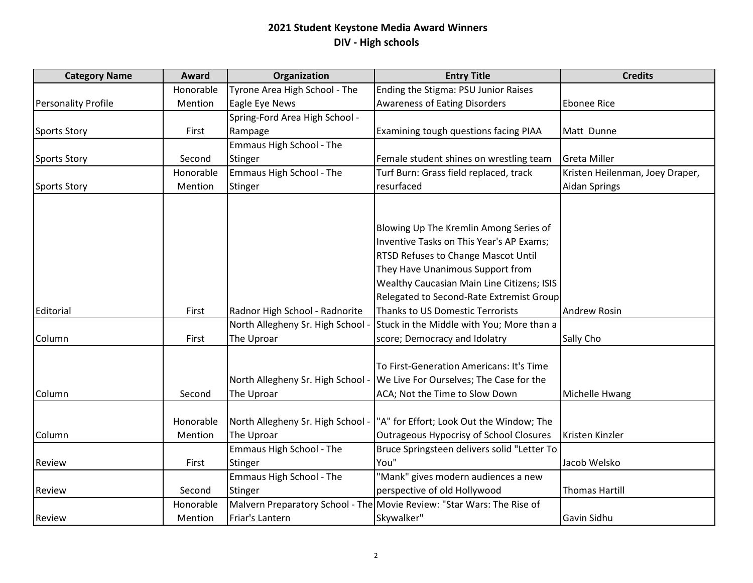| <b>Category Name</b>       | Award     | Organization                      | <b>Entry Title</b>                                                     | <b>Credits</b>                  |
|----------------------------|-----------|-----------------------------------|------------------------------------------------------------------------|---------------------------------|
|                            | Honorable | Tyrone Area High School - The     | Ending the Stigma: PSU Junior Raises                                   |                                 |
| <b>Personality Profile</b> | Mention   | Eagle Eye News                    | <b>Awareness of Eating Disorders</b>                                   | <b>Ebonee Rice</b>              |
|                            |           | Spring-Ford Area High School -    |                                                                        |                                 |
| <b>Sports Story</b>        | First     | Rampage                           | Examining tough questions facing PIAA                                  | Matt Dunne                      |
|                            |           | Emmaus High School - The          |                                                                        |                                 |
| <b>Sports Story</b>        | Second    | <b>Stinger</b>                    | Female student shines on wrestling team                                | <b>Greta Miller</b>             |
|                            | Honorable | Emmaus High School - The          | Turf Burn: Grass field replaced, track                                 | Kristen Heilenman, Joey Draper, |
| <b>Sports Story</b>        | Mention   | Stinger                           | resurfaced                                                             | <b>Aidan Springs</b>            |
|                            |           |                                   |                                                                        |                                 |
|                            |           |                                   | Blowing Up The Kremlin Among Series of                                 |                                 |
|                            |           |                                   | Inventive Tasks on This Year's AP Exams;                               |                                 |
|                            |           |                                   | <b>RTSD Refuses to Change Mascot Until</b>                             |                                 |
|                            |           |                                   | They Have Unanimous Support from                                       |                                 |
|                            |           |                                   | Wealthy Caucasian Main Line Citizens; ISIS                             |                                 |
|                            |           |                                   | Relegated to Second-Rate Extremist Group                               |                                 |
| Editorial                  | First     | Radnor High School - Radnorite    | Thanks to US Domestic Terrorists                                       | <b>Andrew Rosin</b>             |
|                            |           | North Allegheny Sr. High School - | Stuck in the Middle with You; More than a                              |                                 |
| Column                     | First     | The Uproar                        | score; Democracy and Idolatry                                          | Sally Cho                       |
|                            |           |                                   | To First-Generation Americans: It's Time                               |                                 |
|                            |           | North Allegheny Sr. High School - | We Live For Ourselves; The Case for the                                |                                 |
| Column                     | Second    | The Uproar                        | ACA; Not the Time to Slow Down                                         | Michelle Hwang                  |
|                            |           |                                   |                                                                        |                                 |
|                            | Honorable | North Allegheny Sr. High School - | "A" for Effort; Look Out the Window; The                               |                                 |
| Column                     | Mention   | The Uproar                        | Outrageous Hypocrisy of School Closures                                | Kristen Kinzler                 |
|                            |           | <b>Emmaus High School - The</b>   | Bruce Springsteen delivers solid "Letter To                            |                                 |
| Review                     | First     | Stinger                           | You"                                                                   | Jacob Welsko                    |
|                            |           | Emmaus High School - The          | "Mank" gives modern audiences a new                                    |                                 |
| <b>Review</b>              | Second    | Stinger                           | perspective of old Hollywood                                           | <b>Thomas Hartill</b>           |
|                            | Honorable |                                   | Malvern Preparatory School - The Movie Review: "Star Wars: The Rise of |                                 |
| Review                     | Mention   | Friar's Lantern                   | Skywalker"                                                             | Gavin Sidhu                     |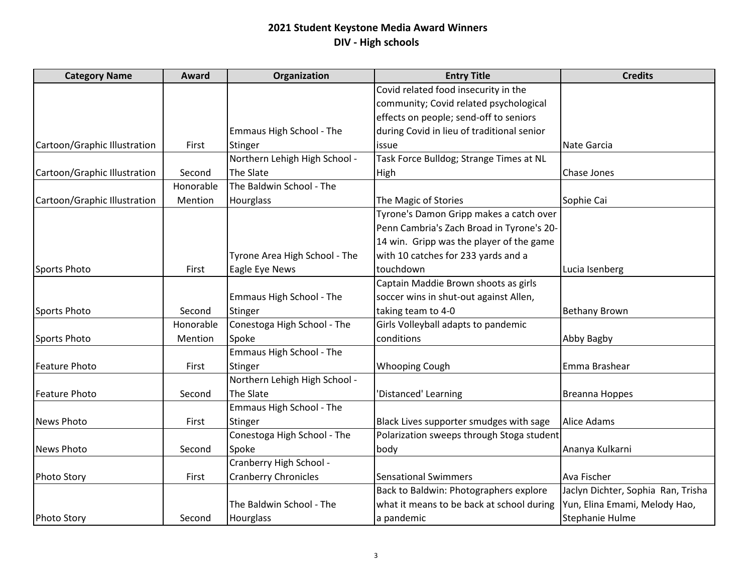| <b>Category Name</b>         | Award     | Organization                    | <b>Entry Title</b>                         | <b>Credits</b>                     |
|------------------------------|-----------|---------------------------------|--------------------------------------------|------------------------------------|
|                              |           |                                 | Covid related food insecurity in the       |                                    |
|                              |           |                                 | community; Covid related psychological     |                                    |
|                              |           |                                 | effects on people; send-off to seniors     |                                    |
|                              |           | Emmaus High School - The        | during Covid in lieu of traditional senior |                                    |
| Cartoon/Graphic Illustration | First     | Stinger                         | issue                                      | Nate Garcia                        |
|                              |           | Northern Lehigh High School -   | Task Force Bulldog; Strange Times at NL    |                                    |
| Cartoon/Graphic Illustration | Second    | The Slate                       | High                                       | Chase Jones                        |
|                              | Honorable | The Baldwin School - The        |                                            |                                    |
| Cartoon/Graphic Illustration | Mention   | <b>Hourglass</b>                | The Magic of Stories                       | Sophie Cai                         |
|                              |           |                                 | Tyrone's Damon Gripp makes a catch over    |                                    |
|                              |           |                                 | Penn Cambria's Zach Broad in Tyrone's 20-  |                                    |
|                              |           |                                 | 14 win. Gripp was the player of the game   |                                    |
|                              |           | Tyrone Area High School - The   | with 10 catches for 233 yards and a        |                                    |
| <b>Sports Photo</b>          | First     | Eagle Eye News                  | touchdown                                  | Lucia Isenberg                     |
|                              |           |                                 | Captain Maddie Brown shoots as girls       |                                    |
|                              |           | Emmaus High School - The        | soccer wins in shut-out against Allen,     |                                    |
| Sports Photo                 | Second    | Stinger                         | taking team to 4-0                         | <b>Bethany Brown</b>               |
|                              | Honorable | Conestoga High School - The     | Girls Volleyball adapts to pandemic        |                                    |
| Sports Photo                 | Mention   | Spoke                           | conditions                                 | Abby Bagby                         |
|                              |           | <b>Emmaus High School - The</b> |                                            |                                    |
| <b>Feature Photo</b>         | First     | Stinger                         | <b>Whooping Cough</b>                      | Emma Brashear                      |
|                              |           | Northern Lehigh High School -   |                                            |                                    |
| <b>Feature Photo</b>         | Second    | The Slate                       | 'Distanced' Learning                       | Breanna Hoppes                     |
|                              |           | Emmaus High School - The        |                                            |                                    |
| <b>News Photo</b>            | First     | Stinger                         | Black Lives supporter smudges with sage    | <b>Alice Adams</b>                 |
|                              |           | Conestoga High School - The     | Polarization sweeps through Stoga student  |                                    |
| <b>News Photo</b>            | Second    | Spoke                           | body                                       | Ananya Kulkarni                    |
|                              |           | Cranberry High School -         |                                            |                                    |
| <b>Photo Story</b>           | First     | <b>Cranberry Chronicles</b>     | <b>Sensational Swimmers</b>                | Ava Fischer                        |
|                              |           |                                 | Back to Baldwin: Photographers explore     | Jaclyn Dichter, Sophia Ran, Trisha |
|                              |           | The Baldwin School - The        | what it means to be back at school during  | Yun, Elina Emami, Melody Hao,      |
| <b>Photo Story</b>           | Second    | Hourglass                       | a pandemic                                 | Stephanie Hulme                    |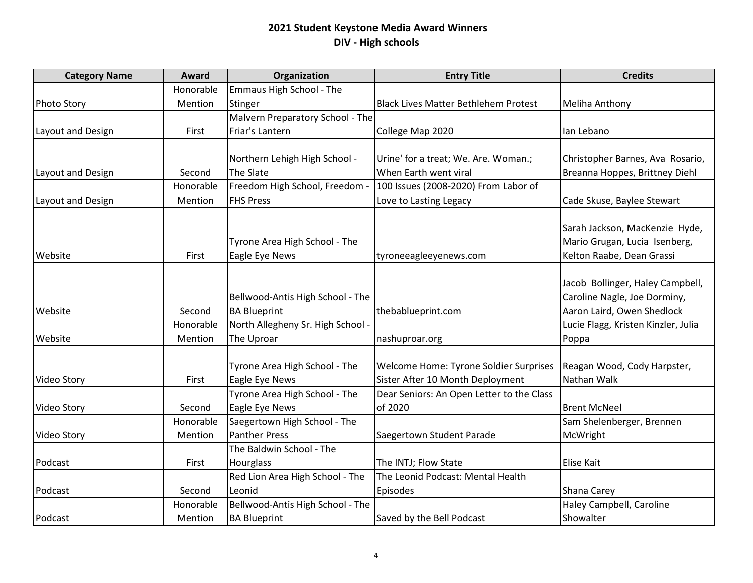| <b>Category Name</b> | Award     | Organization                      | <b>Entry Title</b>                          | <b>Credits</b>                      |
|----------------------|-----------|-----------------------------------|---------------------------------------------|-------------------------------------|
|                      | Honorable | Emmaus High School - The          |                                             |                                     |
| <b>Photo Story</b>   | Mention   | <b>Stinger</b>                    | <b>Black Lives Matter Bethlehem Protest</b> | <b>Meliha Anthony</b>               |
|                      |           | Malvern Preparatory School - The  |                                             |                                     |
| Layout and Design    | First     | Friar's Lantern                   | College Map 2020                            | Ian Lebano                          |
|                      |           |                                   |                                             |                                     |
|                      |           | Northern Lehigh High School -     | Urine' for a treat; We. Are. Woman.;        | Christopher Barnes, Ava Rosario,    |
| Layout and Design    | Second    | The Slate                         | When Earth went viral                       | Breanna Hoppes, Brittney Diehl      |
|                      | Honorable | Freedom High School, Freedom -    | 100 Issues (2008-2020) From Labor of        |                                     |
| Layout and Design    | Mention   | <b>FHS Press</b>                  | Love to Lasting Legacy                      | Cade Skuse, Baylee Stewart          |
|                      |           |                                   |                                             |                                     |
|                      |           |                                   |                                             | Sarah Jackson, MacKenzie Hyde,      |
|                      |           | Tyrone Area High School - The     |                                             | Mario Grugan, Lucia Isenberg,       |
| Website              | First     | Eagle Eye News                    | tyroneeagleeyenews.com                      | Kelton Raabe, Dean Grassi           |
|                      |           |                                   |                                             |                                     |
|                      |           |                                   |                                             | Jacob Bollinger, Haley Campbell,    |
|                      |           | Bellwood-Antis High School - The  |                                             | Caroline Nagle, Joe Dorminy,        |
| Website              | Second    | <b>BA Blueprint</b>               | thebablueprint.com                          | Aaron Laird, Owen Shedlock          |
|                      | Honorable | North Allegheny Sr. High School - |                                             | Lucie Flagg, Kristen Kinzler, Julia |
| Website              | Mention   | The Uproar                        | nashuproar.org                              | Poppa                               |
|                      |           |                                   |                                             |                                     |
|                      |           | Tyrone Area High School - The     | Welcome Home: Tyrone Soldier Surprises      | Reagan Wood, Cody Harpster,         |
| Video Story          | First     | Eagle Eye News                    | Sister After 10 Month Deployment            | Nathan Walk                         |
|                      |           | Tyrone Area High School - The     | Dear Seniors: An Open Letter to the Class   |                                     |
| Video Story          | Second    | Eagle Eye News                    | of 2020                                     | <b>Brent McNeel</b>                 |
|                      | Honorable | Saegertown High School - The      |                                             | Sam Shelenberger, Brennen           |
| Video Story          | Mention   | Panther Press                     | Saegertown Student Parade                   | McWright                            |
|                      |           | The Baldwin School - The          |                                             |                                     |
| Podcast              | First     | Hourglass                         | The INTJ; Flow State                        | <b>Elise Kait</b>                   |
|                      |           | Red Lion Area High School - The   | The Leonid Podcast: Mental Health           |                                     |
| Podcast              | Second    | Leonid                            | Episodes                                    | Shana Carey                         |
|                      | Honorable | Bellwood-Antis High School - The  |                                             | Haley Campbell, Caroline            |
| Podcast              | Mention   | <b>BA Blueprint</b>               | Saved by the Bell Podcast                   | Showalter                           |